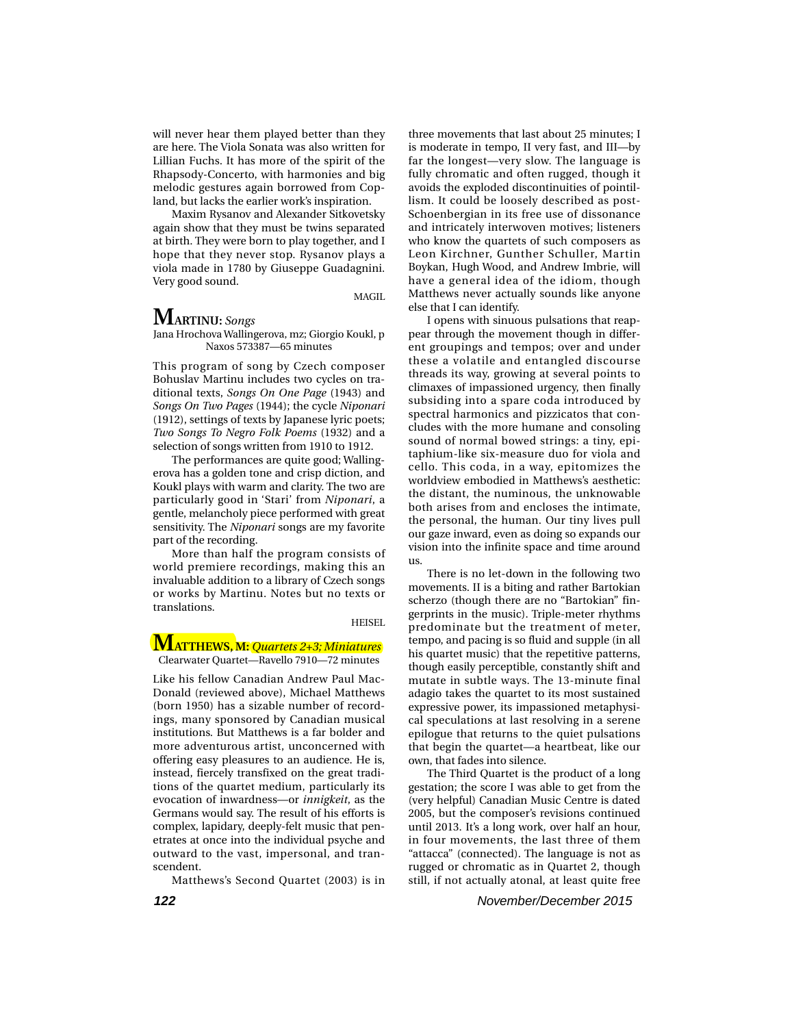will never hear them played better than they are here. The Viola Sonata was also written for Lillian Fuchs. It has more of the spirit of the Rhapsody-Concerto, with harmonies and big melodic gestures again borrowed from Copland, but lacks the earlier work's inspiration.

Maxim Rysanov and Alexander Sitkovetsky again show that they must be twins separated at birth. They were born to play together, and I hope that they never stop. Rysanov plays a viola made in 1780 by Giuseppe Guadagnini. Very good sound.

MAGIL

# **MARTINU:** *Songs*

Jana Hrochova Wallingerova, mz; Giorgio Koukl, p Naxos 573387—65 minutes

This program of song by Czech composer Bohuslav Martinu includes two cycles on traditional texts, *Songs On One Page* (1943) and *Songs On Two Pages* (1944); the cycle *Niponari* (1912), settings of texts by Japanese lyric poets; *Two Songs To Negro Folk Poems* (1932) and a selection of songs written from 1910 to 1912.

The performances are quite good; Wallingerova has a golden tone and crisp diction, and Koukl plays with warm and clarity. The two are particularly good in 'Stari' from *Niponari*, a gentle, melancholy piece performed with great sensitivity. The *Niponari* songs are my favorite part of the recording.

More than half the program consists of world premiere recordings, making this an invaluable addition to a library of Czech songs or works by Martinu. Notes but no texts or translations.

#### HEISEL

### **MATTHEWS, M:** *Quartets 2+3; Miniatures* Clearwater Quartet—Ravello 7910—72 minutes

Like his fellow Canadian Andrew Paul Mac-Donald (reviewed above), Michael Matthews (born 1950) has a sizable number of recordings, many sponsored by Canadian musical institutions. But Matthews is a far bolder and more adventurous artist, unconcerned with offering easy pleasures to an audience. He is, instead, fiercely transfixed on the great traditions of the quartet medium, particularly its evocation of inwardness—or *innigkeit*, as the Germans would say. The result of his efforts is complex, lapidary, deeply-felt music that penetrates at once into the individual psyche and outward to the vast, impersonal, and transcendent.

Matthews's Second Quartet (2003) is in

three movements that last about 25 minutes; I is moderate in tempo, II very fast, and III—by far the longest—very slow. The language is fully chromatic and often rugged, though it avoids the exploded discontinuities of pointillism. It could be loosely described as post-Schoenbergian in its free use of dissonance and intricately interwoven motives; listeners who know the quartets of such composers as Leon Kirchner, Gunther Schuller, Martin Boykan, Hugh Wood, and Andrew Imbrie, will have a general idea of the idiom, though Matthews never actually sounds like anyone else that I can identify.

I opens with sinuous pulsations that reappear through the movement though in different groupings and tempos; over and under these a volatile and entangled discourse threads its way, growing at several points to climaxes of impassioned urgency, then finally subsiding into a spare coda introduced by spectral harmonics and pizzicatos that concludes with the more humane and consoling sound of normal bowed strings: a tiny, epitaphium-like six-measure duo for viola and cello. This coda, in a way, epitomizes the worldview embodied in Matthews's aesthetic: the distant, the numinous, the unknowable both arises from and encloses the intimate, the personal, the human. Our tiny lives pull our gaze inward, even as doing so expands our vision into the infinite space and time around us.

There is no let-down in the following two movements. II is a biting and rather Bartokian scherzo (though there are no "Bartokian" fingerprints in the music). Triple-meter rhythms predominate but the treatment of meter, tempo, and pacing is so fluid and supple (in all his quartet music) that the repetitive patterns, though easily perceptible, constantly shift and mutate in subtle ways. The 13-minute final adagio takes the quartet to its most sustained expressive power, its impassioned metaphysical speculations at last resolving in a serene epilogue that returns to the quiet pulsations that begin the quartet—a heartbeat, like our own, that fades into silence.

The Third Quartet is the product of a long gestation; the score I was able to get from the (very helpful) Canadian Music Centre is dated 2005, but the composer's revisions continued until 2013. It's a long work, over half an hour, in four movements, the last three of them "attacca" (connected). The language is not as rugged or chromatic as in Quartet 2, though still, if not actually atonal, at least quite free